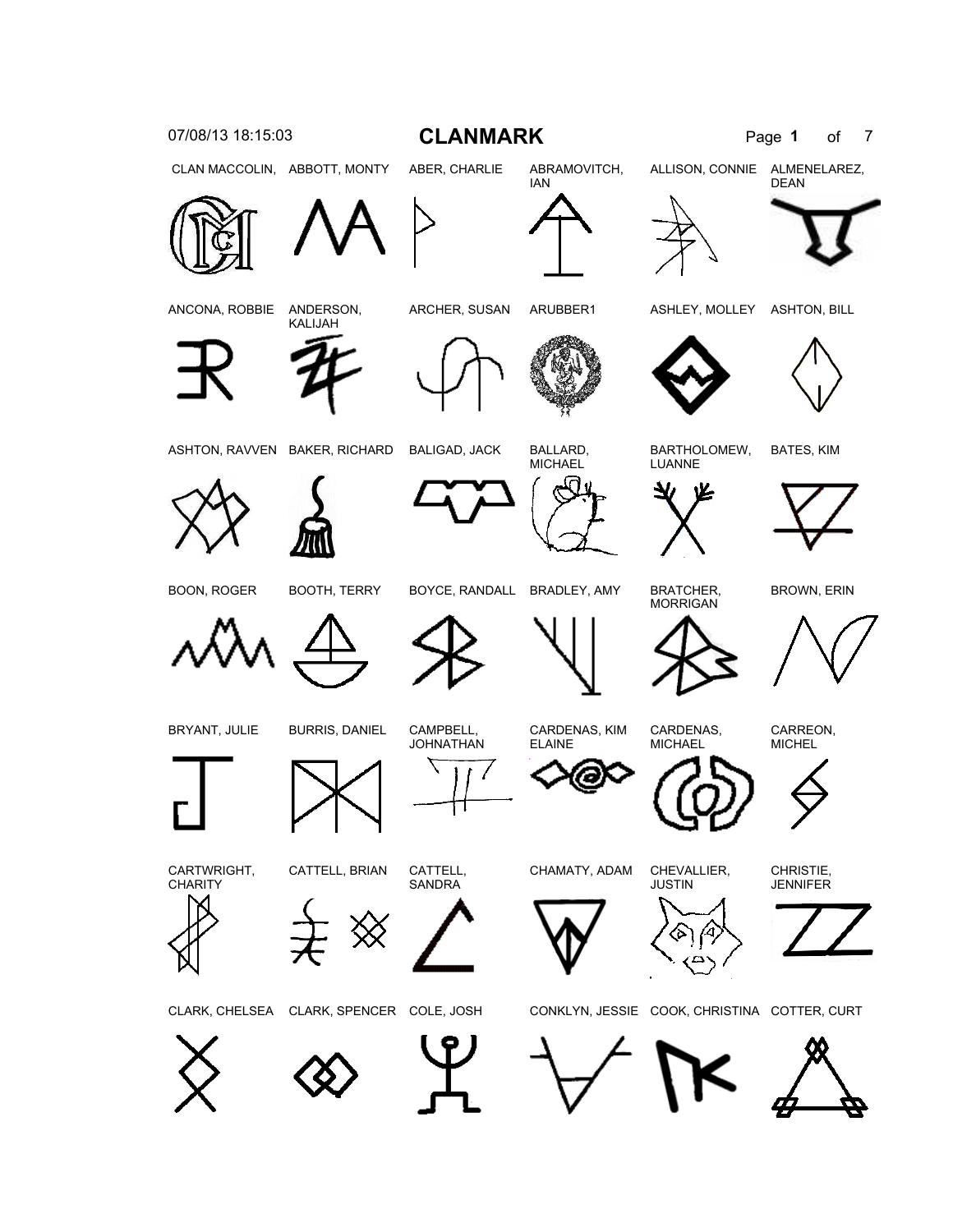





CHAMATY, ADAM CHEVALLIER, JUSTIN

CHRISTIE, **JENNIFER** 



CARREON, **MICHEL** 





BOON, ROGER BOOTH, TERRY BOYCE, RANDALL BRADLEY, AMY BRATCHER,

**MORRIGAN** 



ASHTON, RAVVEN BAKER, RICHARD BALIGAD, JACK BALLARD,



BARTHOLOMEW,







LUANNE







ANCONA, ROBBIE ANDERSON,











IAN





ALLISON, CONNIE ALMENELAREZ, DEAN







CLAN MACCOLIN, ABBOTT, MONTY ABER, CHARLIE ABRAMOVITCH,

ARCHER, SUSAN ARUBBER1 ASHLEY, MOLLEY ASHTON, BILL

MICHAEL

BATES, KIM



















BROWN, ERIN

CARDENAS, KIM ELAINE

Э

CARDENAS, **MICHAEL**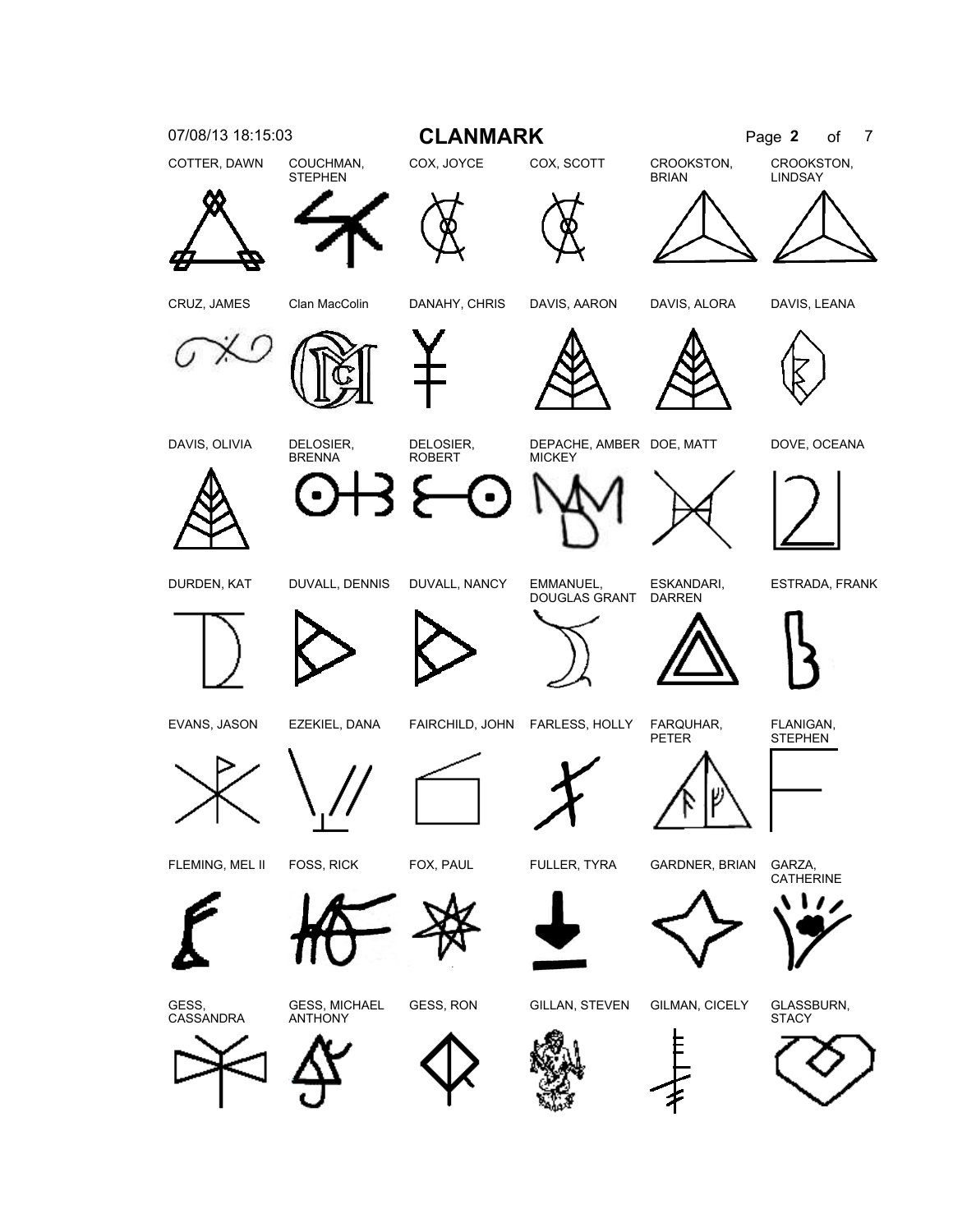



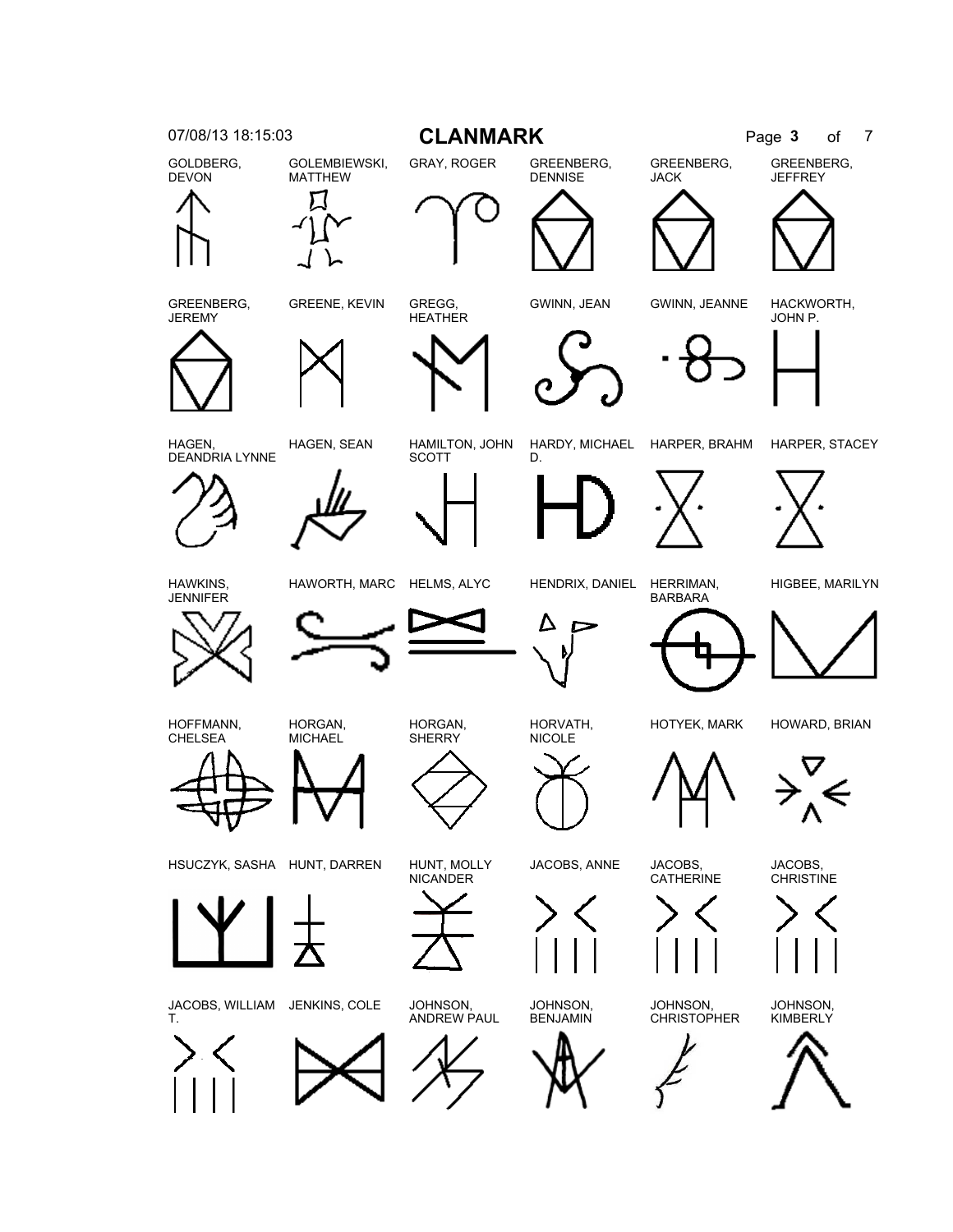



JACOBS, WILLIAM JENKINS, COLE JOHNSON, T.



HSUCZYK, SASHA HUNT, DARREN HUNT, MOLLY



HORGAN, **MICHAEL** 



NICANDER

ANDREW PAUL



HORVATH,

JOHNSON, **BENJAMIN** 





HOTYEK, MARK HOWARD, BRIAN

JACOBS, CHRISTINE

JOHNSON, **KIMBERLY** 



HAWKINS, JENNIFER

HOFFMANN, CHELSEA



JACOBS, ANNE JACOBS,

CATHERINE

JOHNSON, **CHRISTOPHER** 

HIGBEE, MARILYN



HAGEN, DEANDRIA LYNNE HAGEN, SEAN HAMILTON, JOHN



GREENBERG, **JEREMY** 

GOLDBERG, DEVON

GOLEMBIEWSKI, MATTHEW



**SCOTT** 

GREENE, KEVIN GREGG,



DENNISE

07/08/13 18:15:03 **CLANMARK** Page 3 of 7

D.





JACK

GREENBERG,





HARDY, MICHAEL HARPER, BRAHM HARPER, STACEY

**JEFFREY** 

JOHN P.



GREENBERG,

GWINN, JEAN GWINN, JEANNE HACKWORTH,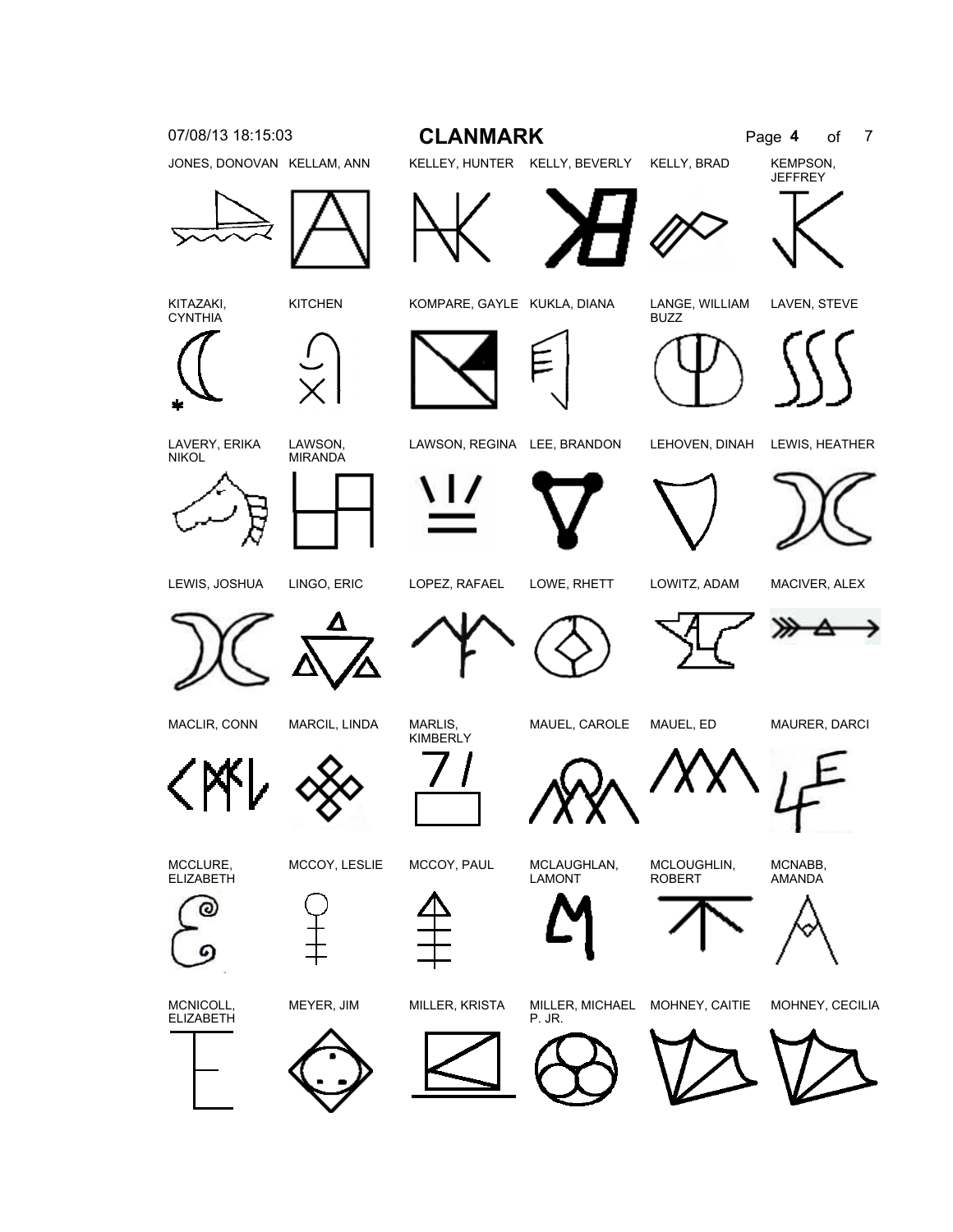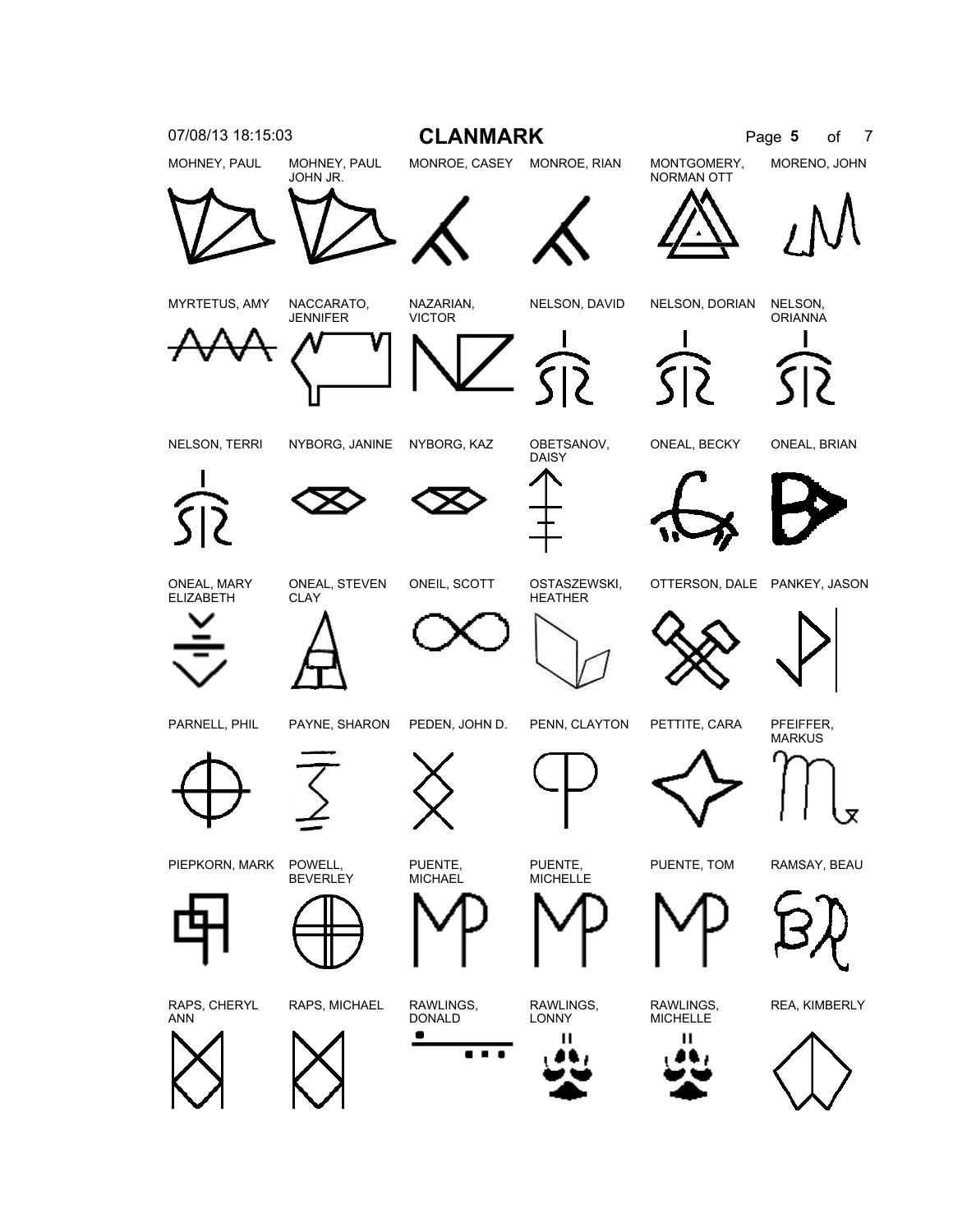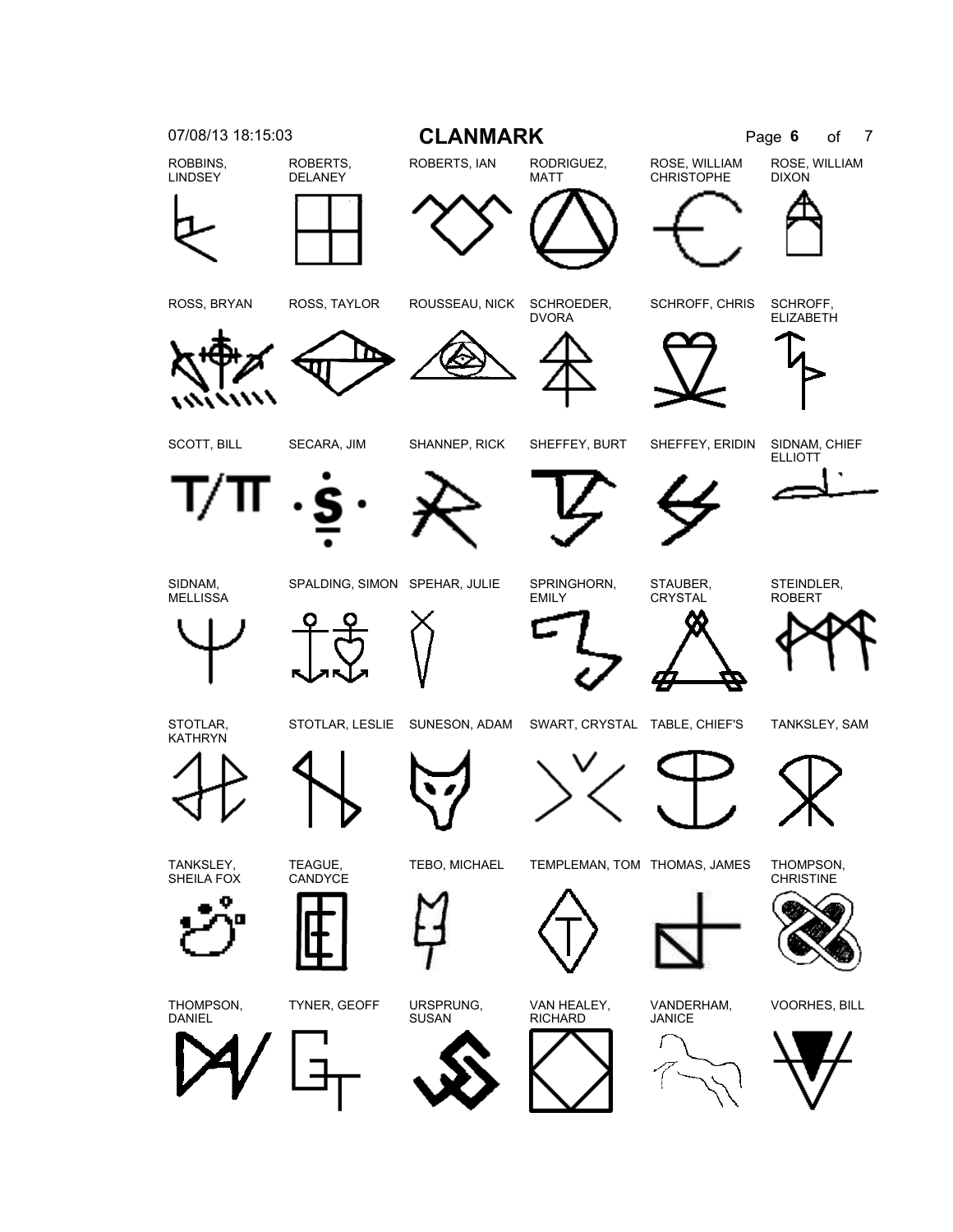